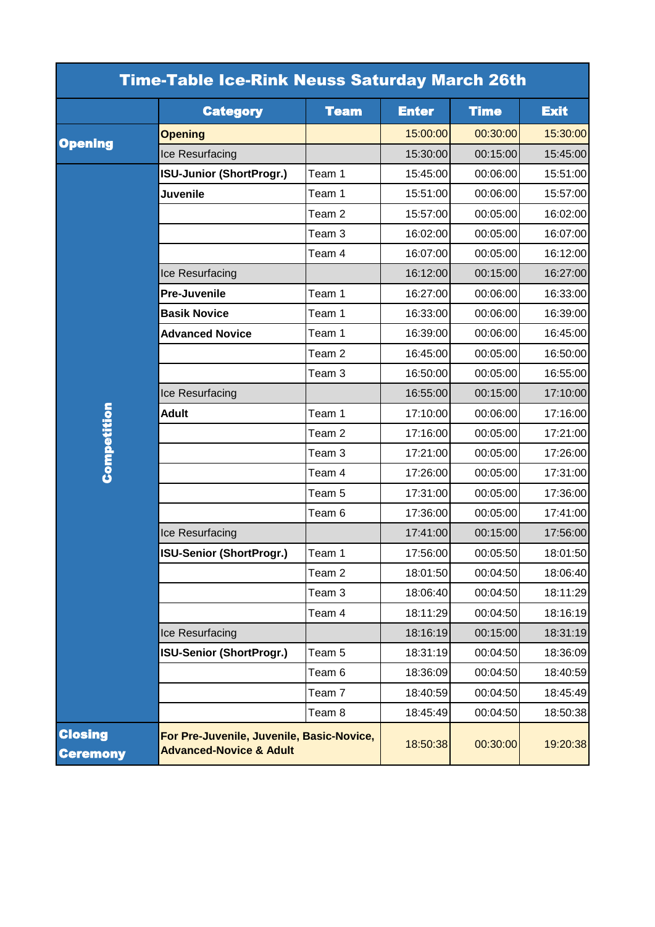| <b>Time-Table Ice-Rink Neuss Saturday March 26th</b> |                                                                                 |                   |              |             |             |  |  |
|------------------------------------------------------|---------------------------------------------------------------------------------|-------------------|--------------|-------------|-------------|--|--|
|                                                      | <b>Category</b>                                                                 | <b>Team</b>       | <b>Enter</b> | <b>Time</b> | <b>Exit</b> |  |  |
| <b>Opening</b>                                       | <b>Opening</b>                                                                  |                   | 15:00:00     | 00:30:00    | 15:30:00    |  |  |
|                                                      | Ice Resurfacing                                                                 |                   | 15:30:00     | 00:15:00    | 15:45:00    |  |  |
| Competition                                          | <b>ISU-Junior (ShortProgr.)</b>                                                 | Team 1            | 15:45:00     | 00:06:00    | 15:51:00    |  |  |
|                                                      | <b>Juvenile</b>                                                                 | Team 1            | 15:51:00     | 00:06:00    | 15:57:00    |  |  |
|                                                      |                                                                                 | Team <sub>2</sub> | 15:57:00     | 00:05:00    | 16:02:00    |  |  |
|                                                      |                                                                                 | Team 3            | 16:02:00     | 00:05:00    | 16:07:00    |  |  |
|                                                      |                                                                                 | Team 4            | 16:07:00     | 00:05:00    | 16:12:00    |  |  |
|                                                      | Ice Resurfacing                                                                 |                   | 16:12:00     | 00:15:00    | 16:27:00    |  |  |
|                                                      | <b>Pre-Juvenile</b>                                                             | Team 1            | 16:27:00     | 00:06:00    | 16:33:00    |  |  |
|                                                      | <b>Basik Novice</b>                                                             | Team 1            | 16:33:00     | 00:06:00    | 16:39:00    |  |  |
|                                                      | <b>Advanced Novice</b>                                                          | Team 1            | 16:39:00     | 00:06:00    | 16:45:00    |  |  |
|                                                      |                                                                                 | Team <sub>2</sub> | 16:45:00     | 00:05:00    | 16:50:00    |  |  |
|                                                      |                                                                                 | Team <sub>3</sub> | 16:50:00     | 00:05:00    | 16:55:00    |  |  |
|                                                      | Ice Resurfacing                                                                 |                   | 16:55:00     | 00:15:00    | 17:10:00    |  |  |
|                                                      | <b>Adult</b>                                                                    | Team 1            | 17:10:00     | 00:06:00    | 17:16:00    |  |  |
|                                                      |                                                                                 | Team <sub>2</sub> | 17:16:00     | 00:05:00    | 17:21:00    |  |  |
|                                                      |                                                                                 | Team <sub>3</sub> | 17:21:00     | 00:05:00    | 17:26:00    |  |  |
|                                                      |                                                                                 | Team 4            | 17:26:00     | 00:05:00    | 17:31:00    |  |  |
|                                                      |                                                                                 | Team <sub>5</sub> | 17:31:00     | 00:05:00    | 17:36:00    |  |  |
|                                                      |                                                                                 | Team 6            | 17:36:00     | 00:05:00    | 17:41:00    |  |  |
|                                                      | Ice Resurfacing                                                                 |                   | 17:41:00     | 00:15:00    | 17:56:00    |  |  |
|                                                      | <b>ISU-Senior (ShortProgr.)</b>                                                 | Team 1            | 17:56:00     | 00:05:50    | 18:01:50    |  |  |
|                                                      |                                                                                 | Team 2            | 18:01:50     | 00:04:50    | 18:06:40    |  |  |
|                                                      |                                                                                 | Team <sub>3</sub> | 18:06:40     | 00:04:50    | 18:11:29    |  |  |
|                                                      |                                                                                 | Team 4            | 18:11:29     | 00:04:50    | 18:16:19    |  |  |
|                                                      | Ice Resurfacing                                                                 |                   | 18:16:19     | 00:15:00    | 18:31:19    |  |  |
|                                                      | <b>ISU-Senior (ShortProgr.)</b>                                                 | Team 5            | 18:31:19     | 00:04:50    | 18:36:09    |  |  |
|                                                      |                                                                                 | Team 6            | 18:36:09     | 00:04:50    | 18:40:59    |  |  |
|                                                      |                                                                                 | Team <sub>7</sub> | 18:40:59     | 00:04:50    | 18:45:49    |  |  |
|                                                      |                                                                                 | Team 8            | 18:45:49     | 00:04:50    | 18:50:38    |  |  |
| <b>Closing</b><br><b>Ceremony</b>                    | For Pre-Juvenile, Juvenile, Basic-Novice,<br><b>Advanced-Novice &amp; Adult</b> |                   | 18:50:38     | 00:30:00    | 19:20:38    |  |  |